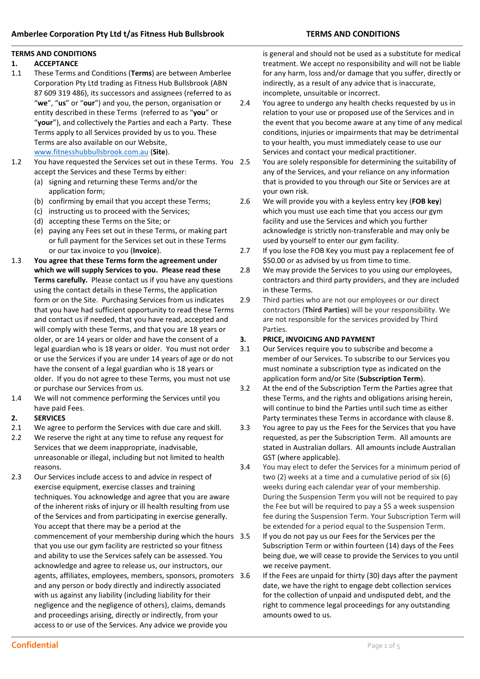## **TERMS AND CONDITIONS**

## **1. ACCEPTANCE**

- 1.1 These Terms and Conditions (**Terms**) are between Amberlee Corporation Pty Ltd trading as Fitness Hub Bullsbrook (ABN 87 609 319 486), its successors and assignees (referred to as "**we**", "**us**" or "**our**") and you, the person, organisation or entity described in these Terms (referred to as "**you**" or "**your**"), and collectively the Parties and each a Party. These Terms apply to all Services provided by us to you. These Terms are also available on our Website, [www.fitnesshubbullsbrook.com.au](http://www.fitnesshubbullsbrook.com.au/) (**Site**).
- 1.2 You have requested the Services set out in these Terms. You accept the Services and these Terms by either:
	- (a) signing and returning these Terms and/or the application form;
	- (b) confirming by email that you accept these Terms;
	- (c) instructing us to proceed with the Services;
	- (d) accepting these Terms on the Site; or
	- (e) paying any Fees set out in these Terms, or making part or full payment for the Services set out in these Terms or our tax invoice to you (**Invoice**).
- 1.3 **You agree that these Terms form the agreement under which we will supply Services to you. Please read these Terms carefully.** Please contact us if you have any questions using the contact details in these Terms, the application form or on the Site. Purchasing Services from us indicates that you have had sufficient opportunity to read these Terms and contact us if needed, that you have read, accepted and will comply with these Terms, and that you are 18 years or older, or are 14 years or older and have the consent of a legal guardian who is 18 years or older. You must not order or use the Services if you are under 14 years of age or do not have the consent of a legal guardian who is 18 years or older. If you do not agree to these Terms, you must not use or purchase our Services from us.
- 1.4 We will not commence performing the Services until you have paid Fees.

## **2. SERVICES**

- 2.1 We agree to perform the Services with due care and skill.
- 2.2 We reserve the right at any time to refuse any request for Services that we deem inappropriate, inadvisable, unreasonable or illegal, including but not limited to health reasons.
- 2.3 Our Services include access to and advice in respect of exercise equipment, exercise classes and training techniques. You acknowledge and agree that you are aware of the inherent risks of injury or ill health resulting from use of the Services and from participating in exercise generally. You accept that there may be a period at the commencement of your membership during which the hours that you use our gym facility are restricted so your fitness and ability to use the Services safely can be assessed. You acknowledge and agree to release us, our instructors, our agents, affiliates, employees, members, sponsors, promoters and any person or body directly and indirectly associated with us against any liability (including liability for their negligence and the negligence of others), claims, demands and proceedings arising, directly or indirectly, from your access to or use of the Services. Any advice we provide you

is general and should not be used as a substitute for medical treatment. We accept no responsibility and will not be liable for any harm, loss and/or damage that you suffer, directly or indirectly, as a result of any advice that is inaccurate, incomplete, unsuitable or incorrect.

- 2.4 You agree to undergo any health checks requested by us in relation to your use or proposed use of the Services and in the event that you become aware at any time of any medical conditions, injuries or impairments that may be detrimental to your health, you must immediately cease to use our Services and contact your medical practitioner.
	- You are solely responsible for determining the suitability of any of the Services, and your reliance on any information that is provided to you through our Site or Services are at your own risk.
- 2.6 We will provide you with a keyless entry key (**FOB key**) which you must use each time that you access our gym facility and use the Services and which you further acknowledge is strictly non-transferable and may only be used by yourself to enter our gym facility.
- 2.7 If you lose the FOB Key you must pay a replacement fee of \$50.00 or as advised by us from time to time.
- 2.8 We may provide the Services to you using our employees, contractors and third party providers, and they are included in these Terms.
- 2.9 Third parties who are not our employees or our direct contractors (**Third Parties**) will be your responsibility. We are not responsible for the services provided by Third Parties.

## **3. PRICE, INVOICING AND PAYMENT**

- 3.1 Our Services require you to subscribe and become a member of our Services. To subscribe to our Services you must nominate a subscription type as indicated on the application form and/or Site (**Subscription Term**).
- 3.2 At the end of the Subscription Term the Parties agree that these Terms, and the rights and obligations arising herein, will continue to bind the Parties until such time as either Party terminates these Terms in accordance with clause 8.
- 3.3 You agree to pay us the Fees for the Services that you have requested, as per the Subscription Term. All amounts are stated in Australian dollars. All amounts include Australian GST (where applicable).
- 3.4 You may elect to defer the Services for a minimum period of two (2) weeks at a time and a cumulative period of six (6) weeks during each calendar year of your membership. During the Suspension Term you will not be required to pay the Fee but will be required to pay a \$5 a week suspension fee during the Suspension Term. Your Subscription Term will be extended for a period equal to the Suspension Term.
	- If you do not pay us our Fees for the Services per the Subscription Term or within fourteen (14) days of the Fees being due, we will cease to provide the Services to you until we receive payment.
- If the Fees are unpaid for thirty (30) days after the payment date, we have the right to engage debt collection services for the collection of unpaid and undisputed debt, and the right to commence legal proceedings for any outstanding amounts owed to us.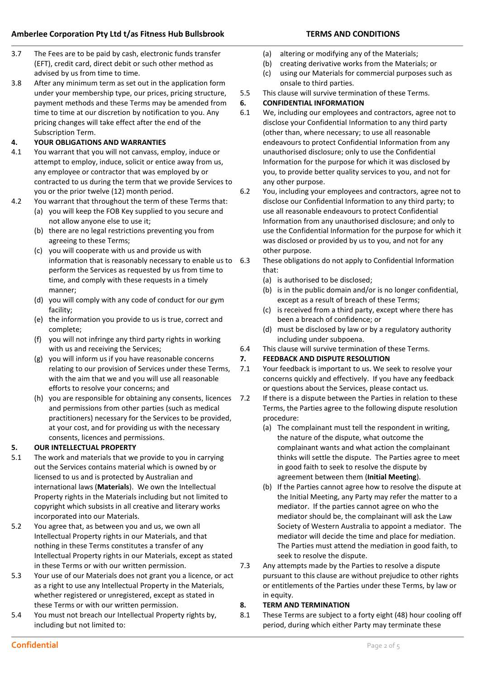- 3.7 The Fees are to be paid by cash, electronic funds transfer (EFT), credit card, direct debit or such other method as advised by us from time to time.
- 3.8 After any minimum term as set out in the application form under your membership type, our prices, pricing structure, payment methods and these Terms may be amended from time to time at our discretion by notification to you. Any pricing changes will take effect after the end of the Subscription Term.

## **4. YOUR OBLIGATIONS AND WARRANTIES**

- 4.1 You warrant that you will not canvass, employ, induce or attempt to employ, induce, solicit or entice away from us, any employee or contractor that was employed by or contracted to us during the term that we provide Services to you or the prior twelve (12) month period.
- 4.2 You warrant that throughout the term of these Terms that:
	- (a) you will keep the FOB Key supplied to you secure and not allow anyone else to use it;
	- (b) there are no legal restrictions preventing you from agreeing to these Terms;
	- (c) you will cooperate with us and provide us with information that is reasonably necessary to enable us to 6.3 perform the Services as requested by us from time to time, and comply with these requests in a timely manner;
	- (d) you will comply with any code of conduct for our gym facility;
	- (e) the information you provide to us is true, correct and complete;
	- (f) you will not infringe any third party rights in working with us and receiving the Services;
	- (g) you will inform us if you have reasonable concerns relating to our provision of Services under these Terms, with the aim that we and you will use all reasonable efforts to resolve your concerns; and
	- (h) you are responsible for obtaining any consents, licences and permissions from other parties (such as medical practitioners) necessary for the Services to be provided, at your cost, and for providing us with the necessary consents, licences and permissions.

## **5. OUR INTELLECTUAL PROPERTY**

- 5.1 The work and materials that we provide to you in carrying out the Services contains material which is owned by or licensed to us and is protected by Australian and international laws (**Materials**). We own the Intellectual Property rights in the Materials including but not limited to copyright which subsists in all creative and literary works incorporated into our Materials.
- 5.2 You agree that, as between you and us, we own all Intellectual Property rights in our Materials, and that nothing in these Terms constitutes a transfer of any Intellectual Property rights in our Materials, except as stated in these Terms or with our written permission.
- 5.3 Your use of our Materials does not grant you a licence, or act as a right to use any Intellectual Property in the Materials, whether registered or unregistered, except as stated in these Terms or with our written permission.
- 5.4 You must not breach our Intellectual Property rights by, including but not limited to:
- (a) altering or modifying any of the Materials;
- (b) creating derivative works from the Materials; or
- (c) using our Materials for commercial purposes such as onsale to third parties.
- 5.5 This clause will survive termination of these Terms.
- **6. CONFIDENTIAL INFORMATION**
- 6.1 We, including our employees and contractors, agree not to disclose your Confidential Information to any third party (other than, where necessary; to use all reasonable endeavours to protect Confidential Information from any unauthorised disclosure; only to use the Confidential Information for the purpose for which it was disclosed by you, to provide better quality services to you, and not for any other purpose.
- 6.2 You, including your employees and contractors, agree not to disclose our Confidential Information to any third party; to use all reasonable endeavours to protect Confidential Information from any unauthorised disclosure; and only to use the Confidential Information for the purpose for which it was disclosed or provided by us to you, and not for any other purpose.
	- These obligations do not apply to Confidential Information that:
		- (a) is authorised to be disclosed;
		- (b) is in the public domain and/or is no longer confidential, except as a result of breach of these Terms;
		- (c) is received from a third party, except where there has been a breach of confidence; or
		- (d) must be disclosed by law or by a regulatory authority including under subpoena.
- 6.4 This clause will survive termination of these Terms.

# **7. FEEDBACK AND DISPUTE RESOLUTION**

- 7.1 Your feedback is important to us. We seek to resolve your concerns quickly and effectively. If you have any feedback or questions about the Services, please contact us.
- 7.2 If there is a dispute between the Parties in relation to these Terms, the Parties agree to the following dispute resolution procedure:
	- (a) The complainant must tell the respondent in writing, the nature of the dispute, what outcome the complainant wants and what action the complainant thinks will settle the dispute. The Parties agree to meet in good faith to seek to resolve the dispute by agreement between them (**Initial Meeting**).
	- (b) If the Parties cannot agree how to resolve the dispute at the Initial Meeting, any Party may refer the matter to a mediator. If the parties cannot agree on who the mediator should be, the complainant will ask the Law Society of Western Australia to appoint a mediator. The mediator will decide the time and place for mediation. The Parties must attend the mediation in good faith, to seek to resolve the dispute.
- 7.3 Any attempts made by the Parties to resolve a dispute pursuant to this clause are without prejudice to other rights or entitlements of the Parties under these Terms, by law or in equity.

# **8. TERM AND TERMINATION**

8.1 These Terms are subject to a forty eight (48) hour cooling off period, during which either Party may terminate these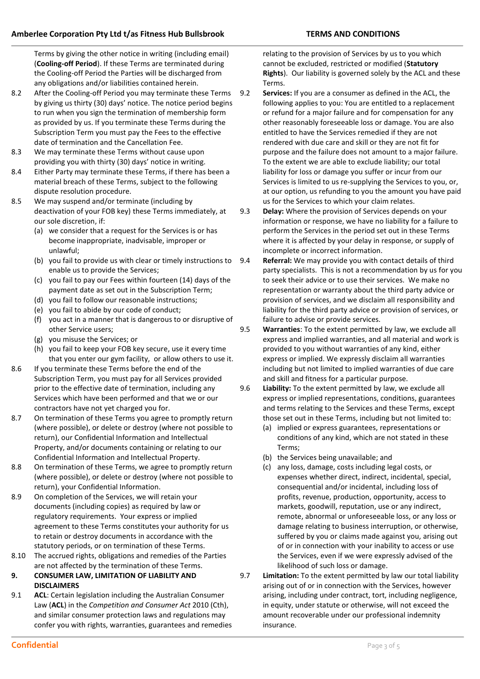Terms by giving the other notice in writing (including email) (**Cooling-off Period**). If these Terms are terminated during the Cooling-off Period the Parties will be discharged from any obligations and/or liabilities contained herein.

- 8.2 After the Cooling-off Period you may terminate these Terms by giving us thirty (30) days' notice. The notice period begins to run when you sign the termination of membership form as provided by us. If you terminate these Terms during the Subscription Term you must pay the Fees to the effective date of termination and the Cancellation Fee.
- 8.3 We may terminate these Terms without cause upon providing you with thirty (30) days' notice in writing.
- 8.4 Either Party may terminate these Terms, if there has been a material breach of these Terms, subject to the following dispute resolution procedure.
- 8.5 We may suspend and/or terminate (including by deactivation of your FOB key) these Terms immediately, at our sole discretion, if:
	- (a) we consider that a request for the Services is or has become inappropriate, inadvisable, improper or unlawful;
	- (b) you fail to provide us with clear or timely instructions to enable us to provide the Services;
	- (c) you fail to pay our Fees within fourteen (14) days of the payment date as set out in the Subscription Term;
	- (d) you fail to follow our reasonable instructions;
	- (e) you fail to abide by our code of conduct;
	- (f) you act in a manner that is dangerous to or disruptive of other Service users;
	- (g) you misuse the Services; or
	- (h) you fail to keep your FOB key secure, use it every time that you enter our gym facility, or allow others to use it.
- 8.6 If you terminate these Terms before the end of the Subscription Term, you must pay for all Services provided prior to the effective date of termination, including any Services which have been performed and that we or our contractors have not yet charged you for.
- 8.7 On termination of these Terms you agree to promptly return (where possible), or delete or destroy (where not possible to return), our Confidential Information and Intellectual Property, and/or documents containing or relating to our Confidential Information and Intellectual Property.
- 8.8 On termination of these Terms, we agree to promptly return (where possible), or delete or destroy (where not possible to return), your Confidential Information.
- 8.9 On completion of the Services, we will retain your documents (including copies) as required by law or regulatory requirements. Your express or implied agreement to these Terms constitutes your authority for us to retain or destroy documents in accordance with the statutory periods, or on termination of these Terms.
- 8.10 The accrued rights, obligations and remedies of the Parties are not affected by the termination of these Terms.
- **9. CONSUMER LAW, LIMITATION OF LIABILITY AND DISCLAIMERS**
- 9.1 **ACL**: Certain legislation including the Australian Consumer Law (**ACL**) in the *Competition and Consumer Act* 2010 (Cth), and similar consumer protection laws and regulations may confer you with rights, warranties, guarantees and remedies

relating to the provision of Services by us to you which cannot be excluded, restricted or modified (**Statutory Rights**). Our liability is governed solely by the ACL and these Terms.

9.2 **Services:** If you are a consumer as defined in the ACL, the following applies to you: You are entitled to a replacement or refund for a major failure and for compensation for any other reasonably foreseeable loss or damage. You are also entitled to have the Services remedied if they are not rendered with due care and skill or they are not fit for purpose and the failure does not amount to a major failure. To the extent we are able to exclude liability; our total liability for loss or damage you suffer or incur from our Services is limited to us re-supplying the Services to you, or, at our option, us refunding to you the amount you have paid us for the Services to which your claim relates.

9.3 **Delay:** Where the provision of Services depends on your information or response, we have no liability for a failure to perform the Services in the period set out in these Terms where it is affected by your delay in response, or supply of incomplete or incorrect information.

- 9.4 **Referral:** We may provide you with contact details of third party specialists. This is not a recommendation by us for you to seek their advice or to use their services. We make no representation or warranty about the third party advice or provision of services, and we disclaim all responsibility and liability for the third party advice or provision of services, or failure to advise or provide services.
- 9.5 **Warranties**: To the extent permitted by law, we exclude all express and implied warranties, and all material and work is provided to you without warranties of any kind, either express or implied. We expressly disclaim all warranties including but not limited to implied warranties of due care and skill and fitness for a particular purpose.
- 9.6 **Liability:** To the extent permitted by law, we exclude all express or implied representations, conditions, guarantees and terms relating to the Services and these Terms, except those set out in these Terms, including but not limited to:
	- (a) implied or express guarantees, representations or conditions of any kind, which are not stated in these Terms;
	- (b) the Services being unavailable; and
	- (c) any loss, damage, costs including legal costs, or expenses whether direct, indirect, incidental, special, consequential and/or incidental, including loss of profits, revenue, production, opportunity, access to markets, goodwill, reputation, use or any indirect, remote, abnormal or unforeseeable loss, or any loss or damage relating to business interruption, or otherwise, suffered by you or claims made against you, arising out of or in connection with your inability to access or use the Services, even if we were expressly advised of the likelihood of such loss or damage.
- 9.7 **Limitation:** To the extent permitted by law our total liability arising out of or in connection with the Services, however arising, including under contract, tort, including negligence, in equity, under statute or otherwise, will not exceed the amount recoverable under our professional indemnity insurance.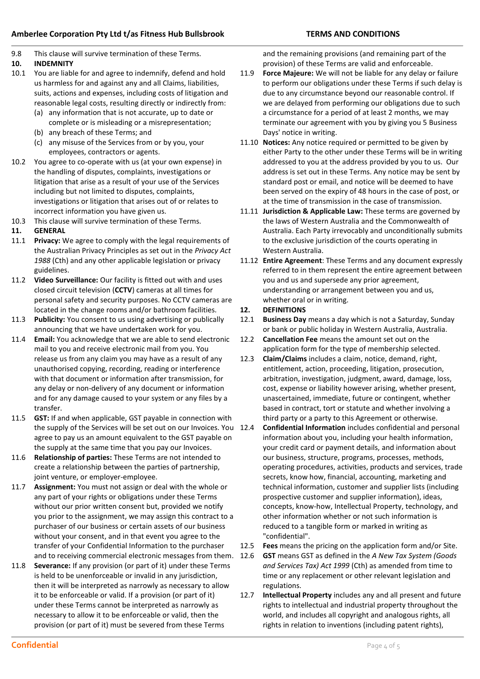9.8 This clause will survive termination of these Terms.

## **10. INDEMNITY**

- 10.1 You are liable for and agree to indemnify, defend and hold us harmless for and against any and all Claims, liabilities, suits, actions and expenses, including costs of litigation and reasonable legal costs, resulting directly or indirectly from:
	- (a) any information that is not accurate, up to date or complete or is misleading or a misrepresentation;
	- (b) any breach of these Terms; and
	- (c) any misuse of the Services from or by you, your employees, contractors or agents.
- 10.2 You agree to co-operate with us (at your own expense) in the handling of disputes, complaints, investigations or litigation that arise as a result of your use of the Services including but not limited to disputes, complaints, investigations or litigation that arises out of or relates to incorrect information you have given us.
- 10.3 This clause will survive termination of these Terms.

## **11. GENERAL**

- 11.1 **Privacy:** We agree to comply with the legal requirements of the Australian Privacy Principles as set out in the *Privacy Act 1988* (Cth) and any other applicable legislation or privacy guidelines.
- 11.2 **Video Surveillance:** Our facility is fitted out with and uses closed circuit television (**CCTV**) cameras at all times for personal safety and security purposes. No CCTV cameras are located in the change rooms and/or bathroom facilities.
- 11.3 **Publicity:** You consent to us using advertising or publically announcing that we have undertaken work for you.
- 11.4 **Email:** You acknowledge that we are able to send electronic mail to you and receive electronic mail from you. You release us from any claim you may have as a result of any unauthorised copying, recording, reading or interference with that document or information after transmission, for any delay or non-delivery of any document or information and for any damage caused to your system or any files by a transfer.
- 11.5 **GST:** If and when applicable, GST payable in connection with the supply of the Services will be set out on our Invoices. You 12.4 agree to pay us an amount equivalent to the GST payable on the supply at the same time that you pay our Invoices.
- 11.6 **Relationship of parties:** These Terms are not intended to create a relationship between the parties of partnership, joint venture, or employer-employee.
- 11.7 **Assignment:** You must not assign or deal with the whole or any part of your rights or obligations under these Terms without our prior written consent but, provided we notify you prior to the assignment, we may assign this contract to a purchaser of our business or certain assets of our business without your consent, and in that event you agree to the transfer of your Confidential Information to the purchaser and to receiving commercial electronic messages from them. 12.6
- 11.8 **Severance:** If any provision (or part of it) under these Terms is held to be unenforceable or invalid in any jurisdiction, then it will be interpreted as narrowly as necessary to allow it to be enforceable or valid. If a provision (or part of it) under these Terms cannot be interpreted as narrowly as necessary to allow it to be enforceable or valid, then the provision (or part of it) must be severed from these Terms

and the remaining provisions (and remaining part of the provision) of these Terms are valid and enforceable.

- 11.9 **Force Majeure:** We will not be liable for any delay or failure to perform our obligations under these Terms if such delay is due to any circumstance beyond our reasonable control. If we are delayed from performing our obligations due to such a circumstance for a period of at least 2 months, we may terminate our agreement with you by giving you 5 Business Days' notice in writing.
- 11.10 **Notices:** Any notice required or permitted to be given by either Party to the other under these Terms will be in writing addressed to you at the address provided by you to us. Our address is set out in these Terms. Any notice may be sent by standard post or email, and notice will be deemed to have been served on the expiry of 48 hours in the case of post, or at the time of transmission in the case of transmission.
- 11.11 **Jurisdiction & Applicable Law:** These terms are governed by the laws of Western Australia and the Commonwealth of Australia. Each Party irrevocably and unconditionally submits to the exclusive jurisdiction of the courts operating in Western Australia.
- 11.12 **Entire Agreement**: These Terms and any document expressly referred to in them represent the entire agreement between you and us and supersede any prior agreement, understanding or arrangement between you and us, whether oral or in writing.

### **12. DEFINITIONS**

- 12.1 **Business Day** means a day which is not a Saturday, Sunday or bank or public holiday in Western Australia, Australia.
- 12.2 **Cancellation Fee** means the amount set out on the application form for the type of membership selected.
- 12.3 **Claim/Claims** includes a claim, notice, demand, right, entitlement, action, proceeding, litigation, prosecution, arbitration, investigation, judgment, award, damage, loss, cost, expense or liability however arising, whether present, unascertained, immediate, future or contingent, whether based in contract, tort or statute and whether involving a third party or a party to this Agreement or otherwise.
- 12.4 **Confidential Information** includes confidential and personal information about you, including your health information, your credit card or payment details, and information about our business, structure, programs, processes, methods, operating procedures, activities, products and services, trade secrets, know how, financial, accounting, marketing and technical information, customer and supplier lists (including prospective customer and supplier information), ideas, concepts, know-how, Intellectual Property, technology, and other information whether or not such information is reduced to a tangible form or marked in writing as "confidential".
- 12.5 **Fees** means the pricing on the application form and/or Site.
- 12.6 **GST** means GST as defined in the *A New Tax System (Goods and Services Tax) Act 1999* (Cth) as amended from time to time or any replacement or other relevant legislation and regulations.
- 12.7 **Intellectual Property** includes any and all present and future rights to intellectual and industrial property throughout the world, and includes all copyright and analogous rights, all rights in relation to inventions (including patent rights),